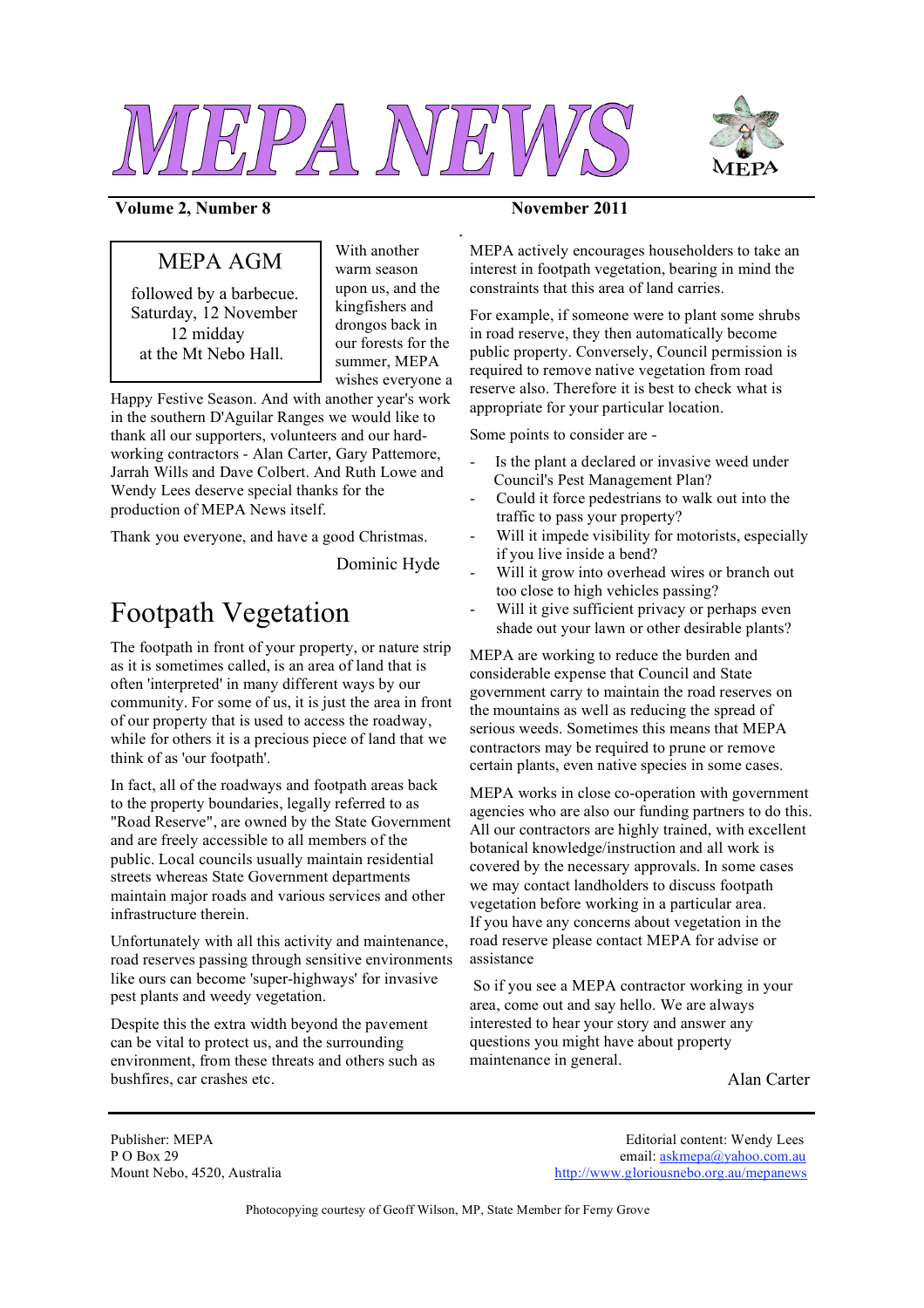



### **Volume 2, Number 8 November 2011**

## MEPA AGM

followed by a barbecue. Saturday, 12 November 12 midday at the Mt Nebo Hall.

With another warm season upon us, and the kingfishers and drongos back in our forests for the summer, MEPA wishes everyone a *.*

Happy Festive Season. And with another year's work in the southern D'Aguilar Ranges we would like to thank all our supporters, volunteers and our hardworking contractors - Alan Carter, Gary Pattemore, Jarrah Wills and Dave Colbert. And Ruth Lowe and Wendy Lees deserve special thanks for the production of MEPA News itself.

Thank you everyone, and have a good Christmas.

Dominic Hyde

# Footpath Vegetation

The footpath in front of your property, or nature strip as it is sometimes called, is an area of land that is often 'interpreted' in many different ways by our community. For some of us, it is just the area in front of our property that is used to access the roadway, while for others it is a precious piece of land that we think of as 'our footpath'.

In fact, all of the roadways and footpath areas back to the property boundaries, legally referred to as "Road Reserve", are owned by the State Government and are freely accessible to all members of the public. Local councils usually maintain residential streets whereas State Government departments maintain major roads and various services and other infrastructure therein.

Unfortunately with all this activity and maintenance, road reserves passing through sensitive environments like ours can become 'super-highways' for invasive pest plants and weedy vegetation.

Despite this the extra width beyond the pavement can be vital to protect us, and the surrounding environment, from these threats and others such as bushfires, car crashes etc.

MEPA actively encourages householders to take an interest in footpath vegetation, bearing in mind the constraints that this area of land carries.

For example, if someone were to plant some shrubs in road reserve, they then automatically become public property. Conversely, Council permission is required to remove native vegetation from road reserve also. Therefore it is best to check what is appropriate for your particular location.

Some points to consider are -

- Is the plant a declared or invasive weed under Council's Pest Management Plan?
- Could it force pedestrians to walk out into the traffic to pass your property?
- Will it impede visibility for motorists, especially if you live inside a bend?
- Will it grow into overhead wires or branch out too close to high vehicles passing?
- Will it give sufficient privacy or perhaps even shade out your lawn or other desirable plants?

MEPA are working to reduce the burden and considerable expense that Council and State government carry to maintain the road reserves on the mountains as well as reducing the spread of serious weeds. Sometimes this means that MEPA contractors may be required to prune or remove certain plants, even native species in some cases.

MEPA works in close co-operation with government agencies who are also our funding partners to do this. All our contractors are highly trained, with excellent botanical knowledge/instruction and all work is covered by the necessary approvals. In some cases we may contact landholders to discuss footpath vegetation before working in a particular area. If you have any concerns about vegetation in the road reserve please contact MEPA for advise or assistance

So if you see a MEPA contractor working in your area, come out and say hello. We are always interested to hear your story and answer any questions you might have about property maintenance in general.

Alan Carter

Publisher: MEPA Editorial content: Wendy Lees P O Box 29 email: askmepa@yahoo.com.au Mount Nebo, 4520, Australia http://www.gloriousnebo.org.au/mepanews